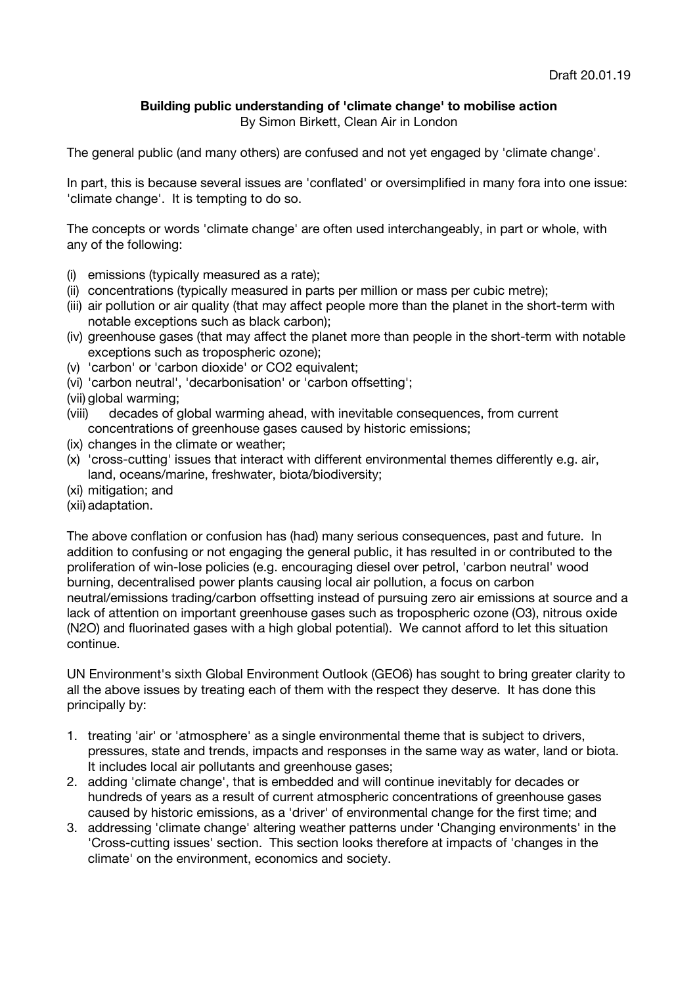## **Building public understanding of 'climate change' to mobilise action**

By Simon Birkett, Clean Air in London

The general public (and many others) are confused and not yet engaged by 'climate change'.

In part, this is because several issues are 'conflated' or oversimplified in many fora into one issue: 'climate change'. It is tempting to do so.

The concepts or words 'climate change' are often used interchangeably, in part or whole, with any of the following:

- (i) emissions (typically measured as a rate);
- (ii) concentrations (typically measured in parts per million or mass per cubic metre);
- (iii) air pollution or air quality (that may affect people more than the planet in the short-term with notable exceptions such as black carbon);
- (iv) greenhouse gases (that may affect the planet more than people in the short-term with notable exceptions such as tropospheric ozone);
- (v) 'carbon' or 'carbon dioxide' or CO2 equivalent;
- (vi) 'carbon neutral', 'decarbonisation' or 'carbon offsetting';
- (vii) global warming;
- (viii) decades of global warming ahead, with inevitable consequences, from current concentrations of greenhouse gases caused by historic emissions;
- (ix) changes in the climate or weather;
- (x) 'cross-cutting' issues that interact with different environmental themes differently e.g. air, land, oceans/marine, freshwater, biota/biodiversity;
- (xi) mitigation; and
- (xii) adaptation.

The above conflation or confusion has (had) many serious consequences, past and future. In addition to confusing or not engaging the general public, it has resulted in or contributed to the proliferation of win-lose policies (e.g. encouraging diesel over petrol, 'carbon neutral' wood burning, decentralised power plants causing local air pollution, a focus on carbon neutral/emissions trading/carbon offsetting instead of pursuing zero air emissions at source and a lack of attention on important greenhouse gases such as tropospheric ozone (O3), nitrous oxide (N2O) and fluorinated gases with a high global potential). We cannot afford to let this situation continue.

UN Environment's sixth Global Environment Outlook (GEO6) has sought to bring greater clarity to all the above issues by treating each of them with the respect they deserve. It has done this principally by:

- 1. treating 'air' or 'atmosphere' as a single environmental theme that is subject to drivers, pressures, state and trends, impacts and responses in the same way as water, land or biota. It includes local air pollutants and greenhouse gases;
- 2. adding 'climate change', that is embedded and will continue inevitably for decades or hundreds of years as a result of current atmospheric concentrations of greenhouse gases caused by historic emissions, as a 'driver' of environmental change for the first time; and
- 3. addressing 'climate change' altering weather patterns under 'Changing environments' in the 'Cross-cutting issues' section. This section looks therefore at impacts of 'changes in the climate' on the environment, economics and society.